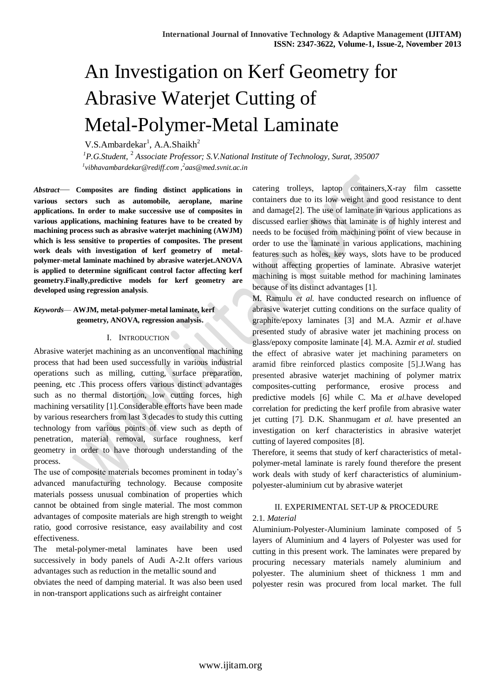# An Investigation on Kerf Geometry for Abrasive Waterjet Cutting of Metal-Polymer-Metal Laminate

 $V.S.Ambardekar<sup>1</sup>, A.A.Shaikh<sup>2</sup>$ 

<sup>1</sup> P.G.Student, <sup>2</sup> Associate Professor; S.V.National Institute of Technology, Surat, 395007 *1 vibhavambardekar@rediff.com ,<sup>2</sup> aas@med.svnit.ac.in*

*Abstract*— **Composites are finding distinct applications in various sectors such as automobile, aeroplane, marine applications. In order to make successive use of composites in various applications, machining features have to be created by machining process such as abrasive waterjet machining (AWJM) which is less sensitive to properties of composites. The present work deals with investigation of kerf geometry of metalpolymer-metal laminate machined by abrasive waterjet.ANOVA is applied to determine significant control factor affecting kerf geometry.Finally,predictive models for kerf geometry are developed using regression analysis**.

#### *Keywords*— **AWJM, metal-polymer-metal laminate, kerf geometry, ANOVA, regression analysis.**

#### I. INTRODUCTION

Abrasive waterjet machining as an unconventional machining process that had been used successfully in various industrial operations such as milling, cutting, surface preparation, peening, etc .This process offers various distinct advantages such as no thermal distortion, low cutting forces, high machining versatility [1].Considerable efforts have been made by various researchers from last 3 decades to study this cutting technology from various points of view such as depth of penetration, material removal, surface roughness, kerf geometry in order to have thorough understanding of the process.

The use of composite materials becomes prominent in today's advanced manufacturing technology. Because composite materials possess unusual combination of properties which cannot be obtained from single material. The most common advantages of composite materials are high strength to weight ratio, good corrosive resistance, easy availability and cost effectiveness.

The metal-polymer-metal laminates have been used successively in body panels of Audi A-2.It offers various advantages such as reduction in the metallic sound and

obviates the need of damping material. It was also been used in non-transport applications such as airfreight container

catering trolleys, laptop containers,X-ray film cassette containers due to its low weight and good resistance to dent and damage[2]. The use of laminate in various applications as discussed earlier shows that laminate is of highly interest and needs to be focused from machining point of view because in order to use the laminate in various applications, machining features such as holes, key ways, slots have to be produced without affecting properties of laminate. Abrasive waterjet machining is most suitable method for machining laminates because of its distinct advantages [1].

M. Ramulu *et al.* have conducted research on influence of abrasive waterjet cutting conditions on the surface quality of graphite/epoxy laminates [3] and M.A. Azmir *et al.*have presented study of abrasive water jet machining process on glass/epoxy composite laminate [4]. M.A. Azmir *et al.* studied the effect of abrasive water jet machining parameters on aramid fibre reinforced plastics composite [5].J.Wang has presented abrasive waterjet machining of polymer matrix composites-cutting performance, erosive process and predictive models [6] while C. Ma *et al.*have developed correlation for predicting the kerf profile from abrasive water jet cutting [7]. D.K. Shanmugam *et al.* have presented an investigation on kerf characteristics in abrasive waterjet cutting of layered composites [8].

Therefore, it seems that study of kerf characteristics of metalpolymer-metal laminate is rarely found therefore the present work deals with study of kerf characteristics of aluminiumpolyester-aluminium cut by abrasive waterjet

#### II. EXPERIMENTAL SET-UP & PROCEDURE

#### 2.1. *Material*

Aluminium-Polyester-Aluminium laminate composed of 5 layers of Aluminium and 4 layers of Polyester was used for cutting in this present work. The laminates were prepared by procuring necessary materials namely aluminium and polyester. The aluminium sheet of thickness 1 mm and polyester resin was procured from local market. The full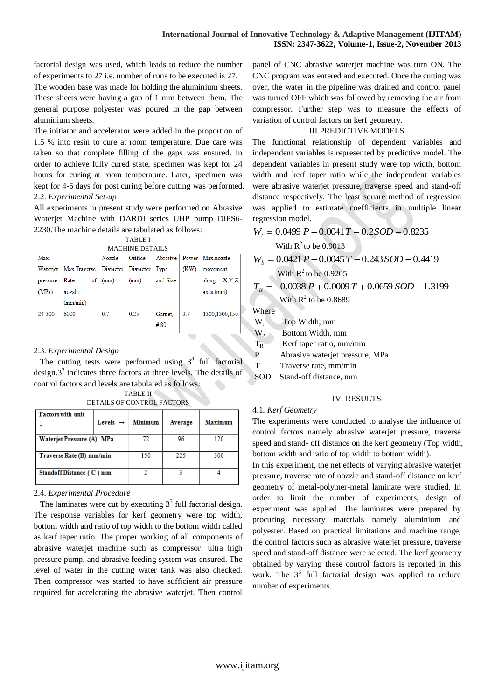factorial design was used, which leads to reduce the number of experiments to 27 i.e. number of runs to be executed is 27.

The wooden base was made for holding the aluminium sheets. These sheets were having a gap of 1 mm between them. The general purpose polyester was poured in the gap between aluminium sheets.

The initiator and accelerator were added in the proportion of 1.5 % into resin to cure at room temperature. Due care was taken so that complete filling of the gaps was ensured. In order to achieve fully cured state, specimen was kept for 24 hours for curing at room temperature. Later, specimen was kept for 4-5 days for post curing before cutting was performed. 2.2. *Experimental Set-up*

All experiments in present study were performed on Abrasive Waterjet Machine with DARDI series UHP pump DIPS6- 2230.The machine details are tabulated as follows:

| <b>MACHINE DETAILS</b> |              |          |          |          |      |                    |  |  |  |
|------------------------|--------------|----------|----------|----------|------|--------------------|--|--|--|
| Max.                   |              | Nozzle   | Orifice  | Abrasive |      | Power   Max nozzle |  |  |  |
| Waterjet               | Max.Traverse | Diameter | Diameter | Type     | (KW) | movement           |  |  |  |
| pressure               | of<br>Rate   | (mm)     | (mm)     | and Size |      | X, Y, Z<br>along   |  |  |  |
| (MPa)                  | nozzle       |          |          |          |      | $axes$ (mm)        |  |  |  |
|                        | (mm/min)     |          |          |          |      |                    |  |  |  |
| 24-300                 | 6000         | 07       | 0.25     | Gamet.   | 3.7  | 1300.1300.150      |  |  |  |
|                        |              |          |          | #80      |      |                    |  |  |  |

#### 2.3. *Experimental Design*

The cutting tests were performed using  $3<sup>3</sup>$  full factorial design. $3<sup>3</sup>$  indicates three factors at three levels. The details of control factors and levels are tabulated as follows:

| <b>Factors with unit</b>  | Levels $\rightarrow$ | <b>Minimum</b> | Average | <b>Maximum</b> |
|---------------------------|----------------------|----------------|---------|----------------|
| Waterjet Pressure (A) MPa |                      | 96             | 120     |                |
| Traverse Rate (B) mm/min  |                      | 150            | 225     | 300            |
| Standoff Distance (C) mm  |                      |                |         |                |

TABLE II DETAILS OF CONTROL FACTORS

2.4. *Experimental Procedure*

The laminates were cut by executing  $3<sup>3</sup>$  full factorial design. The response variables for kerf geometry were top width, bottom width and ratio of top width to the bottom width called as kerf taper ratio. The proper working of all components of abrasive waterjet machine such as compressor, ultra high pressure pump, and abrasive feeding system was ensured. The level of water in the cutting water tank was also checked. Then compressor was started to have sufficient air pressure required for accelerating the abrasive waterjet. Then control

panel of CNC abrasive waterjet machine was turn ON. The CNC program was entered and executed. Once the cutting was over, the water in the pipeline was drained and control panel was turned OFF which was followed by removing the air from compressor. Further step was to measure the effects of variation of control factors on kerf geometry.

#### III.PREDICTIVE MODELS

The functional relationship of dependent variables and independent variables is represented by predictive model. The dependent variables in present study were top width, bottom width and kerf taper ratio while the independent variables were abrasive waterjet pressure, traverse speed and stand-off distance respectively. The least square method of regression was applied to estimate coefficients in multiple linear regression model.

$$
W_t = 0.0499 P - 0.0041 T - 0.2SOD - 0.8235
$$
  
With R<sup>2</sup> to be 0.9013  

$$
W_b = 0.0421 P - 0.0045 T - 0.243 SOD - 0.4419
$$

With 
$$
R^2
$$
 to be 0.9205

$$
T_R = -0.0038 P + 0.0009 T + 0.0659 SOD + 1.3199
$$

With  $R^2$  to be 0.8689

Where

| W.        | Top Width, mm                   |
|-----------|---------------------------------|
| $W_{h}$   | Bottom Width, mm                |
| $\rm T_R$ | Kerf taper ratio, mm/mm         |
| P         | Abrasive waterjet pressure, MPa |
|           |                                 |

Traverse rate, mm/min

## SOD Stand-off distance, mm

#### IV. RESULTS

#### 4.1. *Kerf Geometry*

The experiments were conducted to analyse the influence of control factors namely abrasive waterjet pressure, traverse speed and stand- off distance on the kerf geometry (Top width, bottom width and ratio of top width to bottom width).

In this experiment, the net effects of varying abrasive waterjet pressure, traverse rate of nozzle and stand-off distance on kerf geometry of metal-polymer-metal laminate were studied. In order to limit the number of experiments, design of experiment was applied. The laminates were prepared by procuring necessary materials namely aluminium and polyester. Based on practical limitations and machine range, the control factors such as abrasive waterjet pressure, traverse speed and stand-off distance were selected. The kerf geometry obtained by varying these control factors is reported in this work. The  $3<sup>3</sup>$  full factorial design was applied to reduce number of experiments.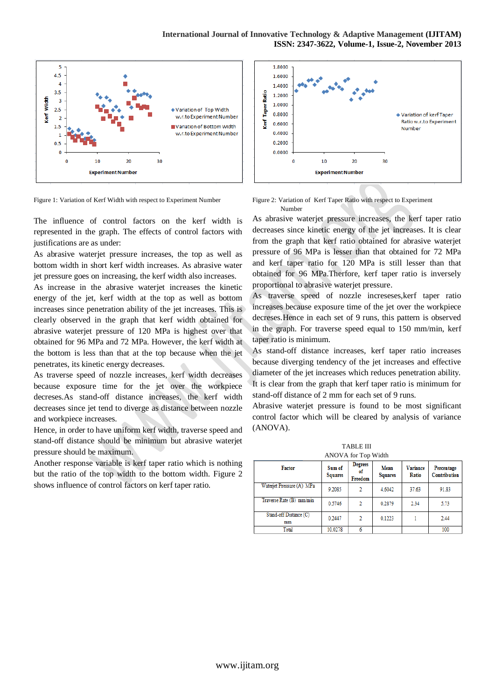

Figure 1: Variation of Kerf Width with respect to Experiment Number

The influence of control factors on the kerf width is represented in the graph. The effects of control factors with justifications are as under:

As abrasive waterjet pressure increases, the top as well as bottom width in short kerf width increases. As abrasive water jet pressure goes on increasing, the kerf width also increases.

As increase in the abrasive waterjet increases the kinetic energy of the jet, kerf width at the top as well as bottom increases since penetration ability of the jet increases. This is clearly observed in the graph that kerf width obtained for abrasive waterjet pressure of 120 MPa is highest over that obtained for 96 MPa and 72 MPa. However, the kerf width at the bottom is less than that at the top because when the jet penetrates, its kinetic energy decreases.

As traverse speed of nozzle increases, kerf width decreases because exposure time for the jet over the workpiece decreses.As stand-off distance increases, the kerf width decreases since jet tend to diverge as distance between nozzle and workpiece increases.

Hence, in order to have uniform kerf width, traverse speed and stand-off distance should be minimum but abrasive waterjet pressure should be maximum.

Another response variable is kerf taper ratio which is nothing but the ratio of the top width to the bottom width. Figure 2 shows influence of control factors on kerf taper ratio.





As abrasive waterjet pressure increases, the kerf taper ratio decreases since kinetic energy of the jet increases. It is clear from the graph that kerf ratio obtained for abrasive waterjet pressure of 96 MPa is lesser than that obtained for 72 MPa and kerf taper ratio for 120 MPa is still lesser than that obtained for 96 MPa.Therfore, kerf taper ratio is inversely proportional to abrasive waterjet pressure.

As traverse speed of nozzle increseses,kerf taper ratio increases because exposure time of the jet over the workpiece decreses.Hence in each set of 9 runs, this pattern is observed in the graph. For traverse speed equal to 150 mm/min, kerf taper ratio is minimum.

As stand-off distance increases, kerf taper ratio increases because diverging tendency of the jet increases and effective diameter of the jet increases which reduces penetration ability. It is clear from the graph that kerf taper ratio is minimum for stand-off distance of 2 mm for each set of 9 runs.

Abrasive waterjet pressure is found to be most significant control factor which will be cleared by analysis of variance (ANOVA).

TABLE III ANOVA for Top Width

| $1.40$ , $1.1$ , $1.01$ , $1.00$ , $1.1.0$ |                          |                                 |                        |                          |                            |  |  |  |  |
|--------------------------------------------|--------------------------|---------------------------------|------------------------|--------------------------|----------------------------|--|--|--|--|
| <b>Factor</b>                              | Sum of<br><b>Squares</b> | <b>Degrees</b><br>оf<br>Freedom | Mean<br><b>Squares</b> | <b>Variance</b><br>Ratio | Percentage<br>Contribution |  |  |  |  |
| Waterjet Pressure (A) MPa                  | 9.2085                   | 2                               | 4.6042                 | 37.63                    | 91.83                      |  |  |  |  |
| Traverse Rate (B) mm/min                   | 0.5746                   | 2                               | 0.2879                 | 2.34                     | 5.73                       |  |  |  |  |
| Stand-off Distance (C)<br>mm               | 0.2447                   | 2                               | 0.1223                 |                          | 2.44                       |  |  |  |  |
| Total                                      | 10.0278                  |                                 |                        |                          | 100                        |  |  |  |  |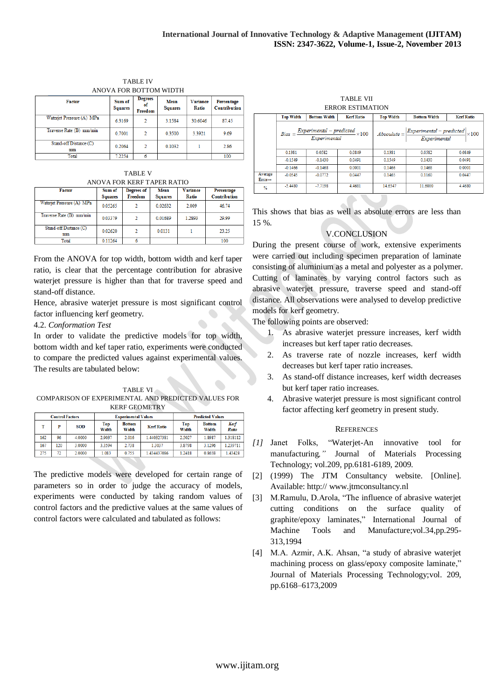| ANO VA FOR BOTTOM WIDTH      |                          |                                 |                        |                          |                            |  |  |  |
|------------------------------|--------------------------|---------------------------------|------------------------|--------------------------|----------------------------|--|--|--|
| <b>Factor</b>                | Sum of<br><b>Squares</b> | <b>Degrees</b><br>οf<br>Freedom | Mean<br><b>Squares</b> | <b>Variance</b><br>Ratio | Percentage<br>Contribution |  |  |  |
| Waterjet Pressure (A) MPa    | 6.3169                   | 2                               | 3.1584                 | 30.6046                  | 87.45                      |  |  |  |
| Traverse Rate (B) mm/min     | 0.7001                   | 2                               | 0.3500                 | 3.3921                   | 9.69                       |  |  |  |
| Stand-off Distance (C)<br>mm | 0.2064                   | $\mathfrak{D}$                  | 0.1032                 |                          | 2.86                       |  |  |  |
| Total                        | 7.2254                   |                                 |                        |                          | 100                        |  |  |  |

TABLE IV ANOVA FOR BOTTOM WIDTH

TABLE V ANOVA FOR KERF TAPER RATIO

| <b>Factor</b>                | Sum of<br><b>Squares</b> | Degrees of<br>Freedom | Mean<br><b>Squares</b> | <b>Variance</b><br>Ratio | Percentage<br>Contribution |
|------------------------------|--------------------------|-----------------------|------------------------|--------------------------|----------------------------|
| Waterjet Pressure (A) MPa    | 0.05265                  | 2                     | 0.02632                | 2.009                    | 46.74                      |
| Traverse Rate (B) mm/min     | 0.03379                  | $\overline{2}$        | 0.01689                | 1.2893                   | 29.99                      |
| Stand-off Distance (C)<br>mm | 0.02620                  | 2                     | 0.0131                 |                          | 23.25                      |
| Total                        | 0.11264                  |                       |                        |                          | 100                        |

From the ANOVA for top width, bottom width and kerf taper ratio, is clear that the percentage contribution for abrasive waterjet pressure is higher than that for traverse speed and stand-off distance.

Hence, abrasive waterjet pressure is most significant control factor influencing kerf geometry.

4.2. *Conformation Test*

In order to validate the predictive models for top width, bottom width and kef taper ratio, experiments were conducted to compare the predicted values against experimental values. The results are tabulated below:

TABLE VI COMPARISON OF EXPERIMENTAL AND PREDICTED VALUES FOR KERF GEOMETRY

| <b>Control Factors</b> |     |            |              | <b>Experimental Values</b> |                   |              | <b>Predicted Values</b> |               |
|------------------------|-----|------------|--------------|----------------------------|-------------------|--------------|-------------------------|---------------|
|                        | ъ   | <b>SOD</b> | Top<br>Width | <b>Bottom</b><br>Width     | <b>Kerf Ratio</b> | Top<br>Width | <b>Bottom</b><br>Width  | Kerf<br>Ratio |
| 162                    | 96  | 4.0000     | 2.9037       | 2.016                      | 1.440327381       | 2.5027       | 1.8987                  | 1.318112      |
| 167                    | 120 | 3.0000     | 3 3 5 9 4    | 2.738                      | 1.3037            | 3.8798       | 3.1296                  | 1.239711      |
| 275                    | 72  | 2,0000     | 1.083        | 0.755                      | 1.434437086       | 1.2418       | 0.8658                  | 1.43428       |

The predictive models were developed for certain range of parameters so in order to judge the accuracy of models, experiments were conducted by taking random values of control factors and the predictive values at the same values of control factors were calculated and tabulated as follows:

TABLE VII ERROR ESTIMATION

|                                | <b>Top Width</b> | <b>Bottom Width</b> | <b>Kerf Ratio</b>                                                 | <b>Top Width</b> | <b>Bottom Width</b>                                                   | <b>Kerf Ratio</b> |
|--------------------------------|------------------|---------------------|-------------------------------------------------------------------|------------------|-----------------------------------------------------------------------|-------------------|
|                                |                  |                     | $Bias = \frac{Experimental - predicted}{Experimental} \times 100$ |                  | $Absolute = \frac{Experimental - predicted}{Experimental} \times 100$ |                   |
|                                | 0.1381           | 0.0582              | 0.0849                                                            | 0.1381           | 0.0582                                                                | 0.0849            |
|                                | $-0.1549$        | $-0.1430$           | 0.0491                                                            | 0.1549           | 0.1430                                                                | 0.0491            |
|                                | $-0.1466$        | $-0.1468$           | 0.0001                                                            | 0.1466           | 0.1468                                                                | 0.0001            |
| Average<br>$Error \rightarrow$ | $-0.0545$        | $-0.0772$           | 0.0447                                                            | 0.1465           | 0.1160                                                                | 0.0447            |
| $\frac{9}{6}$                  | $-5.4480$        | $-7.7198$           | 4.4681                                                            | 14.6547          | 11.6000                                                               | 4.4680            |

This shows that bias as well as absolute errors are less than 15 %.

### V.CONCLUSION

During the present course of work, extensive experiments were carried out including specimen preparation of laminate consisting of aluminium as a metal and polyester as a polymer. Cutting of laminates by varying control factors such as abrasive waterjet pressure, traverse speed and stand-off distance. All observations were analysed to develop predictive models for kerf geometry.

The following points are observed:

- 1. As abrasive waterjet pressure increases, kerf width increases but kerf taper ratio decreases.
- 2. As traverse rate of nozzle increases, kerf width decreases but kerf taper ratio increases.
- 3. As stand-off distance increases, kerf width decreases but kerf taper ratio increases.
- 4. Abrasive waterjet pressure is most significant control factor affecting kerf geometry in present study.

#### **REFERENCES**

- *[1]* Janet Folks, ―Waterjet-An innovative tool for manufacturing*,"* Journal of Materials Processing Technology; vol.209, pp.6181-6189, 2009.
- [2] (1999) The JTM Consultancy website. [Online]. Available: http:// www.jtmconsultancy.nl
- [3] M.Ramulu, D.Arola, "The influence of abrasive waterjet cutting conditions on the surface quality of graphite/epoxy laminates," International Journal of Machine Tools and Manufacture;vol.34,pp.295- 313,1994
- [4] M.A. Azmir, A.K. Ahsan, "a study of abrasive waterjet machining process on glass/epoxy composite laminate," Journal of Materials Processing Technology;vol. 209, pp.6168–6173,2009